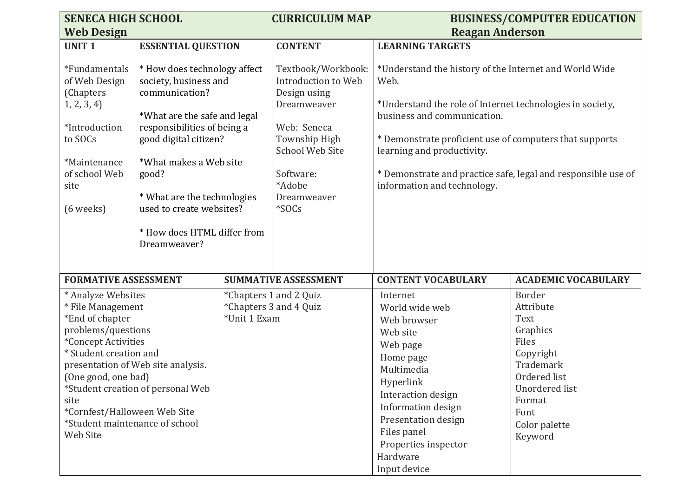| <b>SENECA HIGH SCHOOL</b>                                                                                                                                                                                                                                                                                                                                                |                                                                                                                                                                                                                                                                                                                                           |                                                                                 | <b>CURRICULUM MAP</b>                                                                                                                                                                                                                                                        |                                                                                                                                                                                                                                                                                                                                                     | <b>BUSINESS/COMPUTER EDUCATION</b> |
|--------------------------------------------------------------------------------------------------------------------------------------------------------------------------------------------------------------------------------------------------------------------------------------------------------------------------------------------------------------------------|-------------------------------------------------------------------------------------------------------------------------------------------------------------------------------------------------------------------------------------------------------------------------------------------------------------------------------------------|---------------------------------------------------------------------------------|------------------------------------------------------------------------------------------------------------------------------------------------------------------------------------------------------------------------------------------------------------------------------|-----------------------------------------------------------------------------------------------------------------------------------------------------------------------------------------------------------------------------------------------------------------------------------------------------------------------------------------------------|------------------------------------|
| <b>Web Design</b>                                                                                                                                                                                                                                                                                                                                                        |                                                                                                                                                                                                                                                                                                                                           |                                                                                 |                                                                                                                                                                                                                                                                              | <b>Reagan Anderson</b>                                                                                                                                                                                                                                                                                                                              |                                    |
| <b>UNIT1</b>                                                                                                                                                                                                                                                                                                                                                             |                                                                                                                                                                                                                                                                                                                                           |                                                                                 | <b>CONTENT</b>                                                                                                                                                                                                                                                               | <b>LEARNING TARGETS</b>                                                                                                                                                                                                                                                                                                                             |                                    |
| *Fundamentals<br>of Web Design<br>(Chapters<br>1, 2, 3, 4<br>*Introduction<br>to SOCs<br>*Maintenance<br>of school Web<br>site<br>$(6$ weeks)                                                                                                                                                                                                                            | <b>ESSENTIAL QUESTION</b><br>* How does technology affect<br>society, business and<br>communication?<br>*What are the safe and legal<br>responsibilities of being a<br>good digital citizen?<br>*What makes a Web site<br>good?<br>* What are the technologies<br>used to create websites?<br>* How does HTML differ from<br>Dreamweaver? |                                                                                 | Textbook/Workbook:<br>Introduction to Web<br>Design using<br>Dreamweaver<br>Web: Seneca<br>Township High<br><b>School Web Site</b><br>Software:<br>*Adobe<br>Dreamweaver<br>*SOCs                                                                                            | *Understand the history of the Internet and World Wide<br>Web.<br>*Understand the role of Internet technologies in society,<br>business and communication.<br>* Demonstrate proficient use of computers that supports<br>learning and productivity.<br>* Demonstrate and practice safe, legal and responsible use of<br>information and technology. |                                    |
| <b>FORMATIVE ASSESSMENT</b><br>* Analyze Websites<br>* File Management<br>*Unit 1 Exam<br>*End of chapter<br>problems/questions<br>*Concept Activities<br>* Student creation and<br>presentation of Web site analysis.<br>(One good, one bad)<br>*Student creation of personal Web<br>site<br>*Cornfest/Halloween Web Site<br>*Student maintenance of school<br>Web Site |                                                                                                                                                                                                                                                                                                                                           | <b>SUMMATIVE ASSESSMENT</b><br>*Chapters 1 and 2 Quiz<br>*Chapters 3 and 4 Quiz | <b>CONTENT VOCABULARY</b><br>Internet<br>World wide web<br>Web browser<br>Web site<br>Web page<br>Home page<br>Multimedia<br>Hyperlink<br>Interaction design<br>Information design<br>Presentation design<br>Files panel<br>Properties inspector<br>Hardware<br>Input device | <b>ACADEMIC VOCABULARY</b><br>Border<br>Attribute<br>Text<br>Graphics<br>Files<br>Copyright<br>Trademark<br>Ordered list<br>Unordered list<br>Format<br>Font<br>Color palette<br>Keyword                                                                                                                                                            |                                    |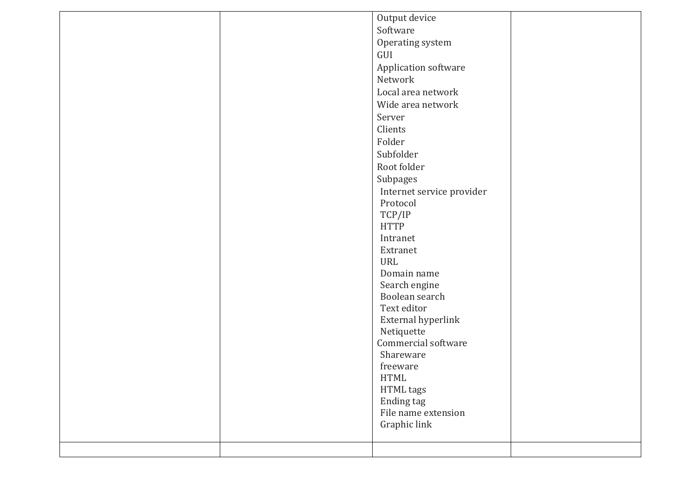|  | Output device             |  |
|--|---------------------------|--|
|  | Software                  |  |
|  | Operating system          |  |
|  | GUI                       |  |
|  | Application software      |  |
|  | Network                   |  |
|  | Local area network        |  |
|  | Wide area network         |  |
|  | Server                    |  |
|  | Clients                   |  |
|  | Folder                    |  |
|  |                           |  |
|  | Subfolder                 |  |
|  | Root folder               |  |
|  | Subpages                  |  |
|  | Internet service provider |  |
|  | Protocol                  |  |
|  | TCP/IP                    |  |
|  | <b>HTTP</b>               |  |
|  | Intranet                  |  |
|  | Extranet                  |  |
|  | URL                       |  |
|  | Domain name               |  |
|  | Search engine             |  |
|  | Boolean search            |  |
|  | Text editor               |  |
|  | External hyperlink        |  |
|  | Netiquette                |  |
|  | Commercial software       |  |
|  | Shareware                 |  |
|  | freeware                  |  |
|  | <b>HTML</b>               |  |
|  | HTML tags                 |  |
|  | Ending tag                |  |
|  | File name extension       |  |
|  | Graphic link              |  |
|  |                           |  |
|  |                           |  |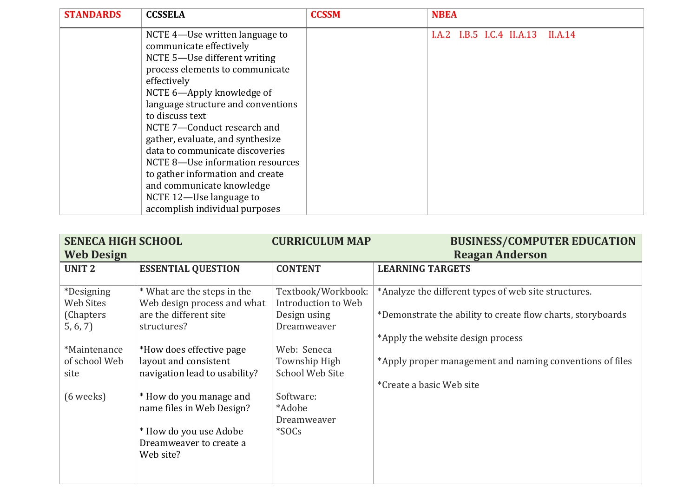| <b>STANDARDS</b> | <b>CCSSELA</b>                     | <b>CCSSM</b> | <b>NBEA</b>                       |
|------------------|------------------------------------|--------------|-----------------------------------|
|                  | NCTE 4—Use written language to     |              | I.A.2 I.B.5 I.C.4 II.A.13 II.A.14 |
|                  | communicate effectively            |              |                                   |
|                  | NCTE 5-Use different writing       |              |                                   |
|                  | process elements to communicate    |              |                                   |
|                  | effectively                        |              |                                   |
|                  | NCTE 6-Apply knowledge of          |              |                                   |
|                  | language structure and conventions |              |                                   |
|                  | to discuss text                    |              |                                   |
|                  | NCTE 7-Conduct research and        |              |                                   |
|                  | gather, evaluate, and synthesize   |              |                                   |
|                  | data to communicate discoveries    |              |                                   |
|                  | NCTE 8-Use information resources   |              |                                   |
|                  | to gather information and create   |              |                                   |
|                  | and communicate knowledge          |              |                                   |
|                  | NCTE 12-Use language to            |              |                                   |
|                  | accomplish individual purposes     |              |                                   |

| <b>SENECA HIGH SCHOOL</b>      |                                                            | <b>CURRICULUM MAP</b>                     | <b>BUSINESS/COMPUTER EDUCATION</b>                          |
|--------------------------------|------------------------------------------------------------|-------------------------------------------|-------------------------------------------------------------|
| <b>Web Design</b>              |                                                            |                                           | <b>Reagan Anderson</b>                                      |
| <b>UNIT 2</b>                  | <b>ESSENTIAL QUESTION</b>                                  | <b>CONTENT</b>                            | <b>LEARNING TARGETS</b>                                     |
|                                |                                                            |                                           |                                                             |
| <i>*Designing</i><br>Web Sites | * What are the steps in the<br>Web design process and what | Textbook/Workbook:<br>Introduction to Web | *Analyze the different types of web site structures.        |
| (Chapters)<br>5, 6, 7          | are the different site<br>structures?                      | Design using<br>Dreamweaver               | *Demonstrate the ability to create flow charts, storyboards |
|                                |                                                            |                                           | *Apply the website design process                           |
| *Maintenance                   | *How does effective page                                   | Web: Seneca                               |                                                             |
| of school Web                  | layout and consistent                                      | Township High                             | *Apply proper management and naming conventions of files    |
| site                           | navigation lead to usability?                              | <b>School Web Site</b>                    |                                                             |
|                                |                                                            |                                           | *Create a basic Web site                                    |
| $(6 \text{ weeks})$            | * How do you manage and<br>name files in Web Design?       | Software:<br>*Adobe                       |                                                             |
|                                |                                                            | Dreamweaver                               |                                                             |
|                                | * How do you use Adobe                                     | $*$ SOCs                                  |                                                             |
|                                | Dreamweaver to create a                                    |                                           |                                                             |
|                                | Web site?                                                  |                                           |                                                             |
|                                |                                                            |                                           |                                                             |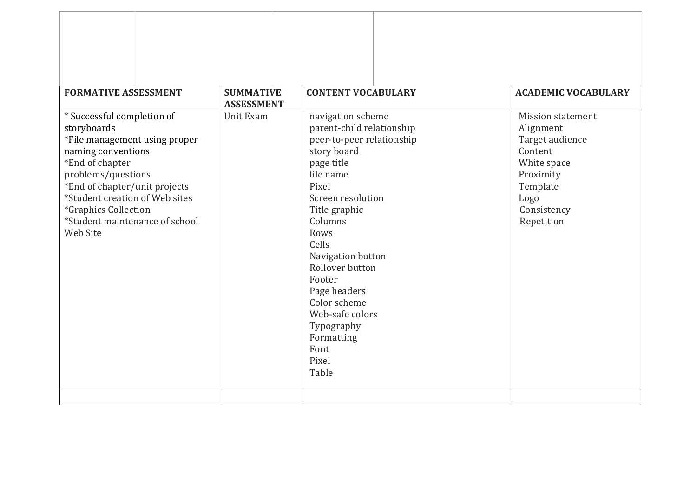| <b>FORMATIVE ASSESSMENT</b>                                     | <b>SUMMATIVE</b>  | <b>CONTENT VOCABULARY</b> | <b>ACADEMIC VOCABULARY</b> |
|-----------------------------------------------------------------|-------------------|---------------------------|----------------------------|
|                                                                 | <b>ASSESSMENT</b> |                           |                            |
| * Successful completion of                                      | Unit Exam         | navigation scheme         | <b>Mission statement</b>   |
| storyboards                                                     |                   | parent-child relationship | Alignment                  |
| *File management using proper                                   |                   | peer-to-peer relationship | Target audience            |
| naming conventions                                              |                   | story board               | Content                    |
| *End of chapter                                                 |                   | page title                | White space                |
| problems/questions                                              |                   | file name<br>Pixel        | Proximity                  |
| *End of chapter/unit projects<br>*Student creation of Web sites |                   | Screen resolution         | Template                   |
|                                                                 |                   |                           | Logo                       |
| *Graphics Collection<br>*Student maintenance of school          |                   | Title graphic<br>Columns  | Consistency                |
| <b>Web Site</b>                                                 | Rows              |                           | Repetition                 |
|                                                                 |                   | Cells                     |                            |
|                                                                 |                   | Navigation button         |                            |
|                                                                 |                   | Rollover button           |                            |
|                                                                 |                   | Footer                    |                            |
|                                                                 |                   | Page headers              |                            |
|                                                                 |                   | Color scheme              |                            |
|                                                                 |                   | Web-safe colors           |                            |
|                                                                 |                   | Typography                |                            |
|                                                                 |                   | Formatting                |                            |
|                                                                 |                   | Font                      |                            |
|                                                                 |                   | Pixel                     |                            |
|                                                                 |                   | Table                     |                            |
|                                                                 |                   |                           |                            |
|                                                                 |                   |                           |                            |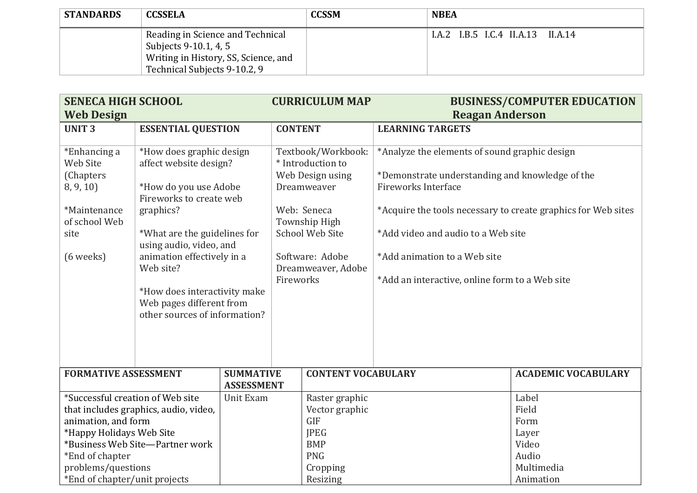| <b>STANDARDS</b> | <b>CCSSELA</b>                                                                                                                    | <b>CCSSM</b> | <b>NBEA</b>                       |
|------------------|-----------------------------------------------------------------------------------------------------------------------------------|--------------|-----------------------------------|
|                  | Reading in Science and Technical<br>Subjects 9-10.1, 4, 5<br>Writing in History, SS, Science, and<br>Technical Subjects 9-10.2, 9 |              | I.A.2 I.B.5 I.C.4 II.A.13 II.A.14 |

| <b>SENECA HIGH SCHOOL</b><br><b>Web Design</b>                                                                           |                                                                                                                                                                                                                                                                                                                        |                                       |                | <b>CURRICULUM MAP</b>                                                                                                                                                         | <b>Reagan Anderson</b>                                                                                                                                                                                                                                                                                                  | <b>BUSINESS/COMPUTER EDUCATION</b> |
|--------------------------------------------------------------------------------------------------------------------------|------------------------------------------------------------------------------------------------------------------------------------------------------------------------------------------------------------------------------------------------------------------------------------------------------------------------|---------------------------------------|----------------|-------------------------------------------------------------------------------------------------------------------------------------------------------------------------------|-------------------------------------------------------------------------------------------------------------------------------------------------------------------------------------------------------------------------------------------------------------------------------------------------------------------------|------------------------------------|
|                                                                                                                          |                                                                                                                                                                                                                                                                                                                        |                                       |                |                                                                                                                                                                               |                                                                                                                                                                                                                                                                                                                         |                                    |
| <b>UNIT3</b>                                                                                                             | <b>ESSENTIAL QUESTION</b>                                                                                                                                                                                                                                                                                              |                                       | <b>CONTENT</b> |                                                                                                                                                                               | <b>LEARNING TARGETS</b>                                                                                                                                                                                                                                                                                                 |                                    |
| *Enhancing a<br><b>Web Site</b><br>(Chapters<br>8, 9, 10<br>*Maintenance<br>of school Web<br>site<br>$(6 \text{ weeks})$ | *How does graphic design<br>affect website design?<br>*How do you use Adobe<br>Fireworks to create web<br>graphics?<br>*What are the guidelines for<br>using audio, video, and<br>animation effectively in a<br>Web site?<br>*How does interactivity make<br>Web pages different from<br>other sources of information? |                                       | Fireworks      | Textbook/Workbook:<br>* Introduction to<br>Web Design using<br>Dreamweaver<br>Web: Seneca<br>Township High<br><b>School Web Site</b><br>Software: Adobe<br>Dreamweaver, Adobe | *Analyze the elements of sound graphic design<br>*Demonstrate understanding and knowledge of the<br><b>Fireworks Interface</b><br>*Acquire the tools necessary to create graphics for Web sites<br>*Add video and audio to a Web site<br>*Add animation to a Web site<br>*Add an interactive, online form to a Web site |                                    |
| <b>FORMATIVE ASSESSMENT</b>                                                                                              |                                                                                                                                                                                                                                                                                                                        | <b>SUMMATIVE</b><br><b>ASSESSMENT</b> |                | <b>CONTENT VOCABULARY</b>                                                                                                                                                     |                                                                                                                                                                                                                                                                                                                         | <b>ACADEMIC VOCABULARY</b>         |
| *Successful creation of Web site                                                                                         |                                                                                                                                                                                                                                                                                                                        | Unit Exam                             |                | Raster graphic                                                                                                                                                                |                                                                                                                                                                                                                                                                                                                         | Label                              |
|                                                                                                                          | that includes graphics, audio, video,                                                                                                                                                                                                                                                                                  |                                       |                | Vector graphic                                                                                                                                                                |                                                                                                                                                                                                                                                                                                                         | Field                              |
| animation, and form                                                                                                      |                                                                                                                                                                                                                                                                                                                        |                                       |                | <b>GIF</b>                                                                                                                                                                    |                                                                                                                                                                                                                                                                                                                         | Form                               |
| *Happy Holidays Web Site                                                                                                 |                                                                                                                                                                                                                                                                                                                        |                                       |                | <b>JPEG</b>                                                                                                                                                                   |                                                                                                                                                                                                                                                                                                                         | Layer                              |
|                                                                                                                          | *Business Web Site-Partner work                                                                                                                                                                                                                                                                                        |                                       |                | <b>BMP</b>                                                                                                                                                                    |                                                                                                                                                                                                                                                                                                                         | Video                              |
| *End of chapter                                                                                                          |                                                                                                                                                                                                                                                                                                                        |                                       |                | <b>PNG</b>                                                                                                                                                                    |                                                                                                                                                                                                                                                                                                                         | Audio                              |
| problems/questions                                                                                                       |                                                                                                                                                                                                                                                                                                                        |                                       |                | Cropping                                                                                                                                                                      |                                                                                                                                                                                                                                                                                                                         | Multimedia                         |
| *End of chapter/unit projects                                                                                            |                                                                                                                                                                                                                                                                                                                        |                                       |                | Resizing                                                                                                                                                                      |                                                                                                                                                                                                                                                                                                                         | Animation                          |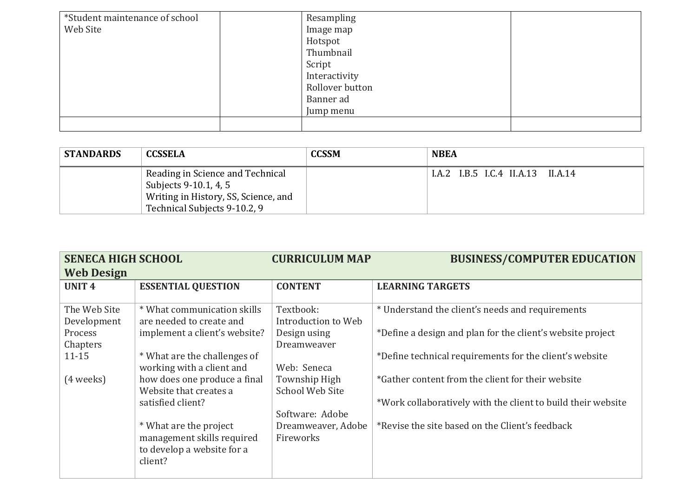| *Student maintenance of school<br>Web Site | Resampling<br>Image map<br>Hotspot<br>Thumbnail<br>Script<br>Interactivity<br>Rollover button<br>Banner ad<br>Jump menu |  |
|--------------------------------------------|-------------------------------------------------------------------------------------------------------------------------|--|
|                                            |                                                                                                                         |  |

| <b>STANDARDS</b> | <b>CCSSELA</b>                                                                                                                    | <b>CCSSM</b> | <b>NBEA</b>                       |
|------------------|-----------------------------------------------------------------------------------------------------------------------------------|--------------|-----------------------------------|
|                  | Reading in Science and Technical<br>Subjects 9-10.1, 4, 5<br>Writing in History, SS, Science, and<br>Technical Subjects 9-10.2, 9 |              | I.A.2 I.B.5 I.C.4 II.A.13 II.A.14 |

| <b>SENECA HIGH SCHOOL</b> |                                                         | <b>CURRICULUM MAP</b>            | <b>BUSINESS/COMPUTER EDUCATION</b>                           |
|---------------------------|---------------------------------------------------------|----------------------------------|--------------------------------------------------------------|
| <b>Web Design</b>         |                                                         |                                  |                                                              |
| UNIT <sub>4</sub>         | <b>ESSENTIAL QUESTION</b>                               | <b>CONTENT</b>                   | <b>LEARNING TARGETS</b>                                      |
|                           |                                                         |                                  |                                                              |
| The Web Site              | * What communication skills<br>are needed to create and | Textbook:<br>Introduction to Web | * Understand the client's needs and requirements             |
| Development<br>Process    | implement a client's website?                           |                                  | *Define a design and plan for the client's website project   |
| Chapters                  |                                                         | Design using<br>Dreamweaver      |                                                              |
| $11 - 15$                 | * What are the challenges of                            |                                  | *Define technical requirements for the client's website      |
|                           | working with a client and                               | Web: Seneca                      |                                                              |
| (4 weeks)                 | how does one produce a final                            | Township High                    | *Gather content from the client for their website            |
|                           | Website that creates a                                  | <b>School Web Site</b>           |                                                              |
|                           | satisfied client?                                       |                                  | *Work collaboratively with the client to build their website |
|                           |                                                         | Software: Adobe                  |                                                              |
|                           | * What are the project                                  | Dreamweaver, Adobe               | *Revise the site based on the Client's feedback              |
|                           | management skills required                              | Fireworks                        |                                                              |
|                           | to develop a website for a                              |                                  |                                                              |
|                           | client?                                                 |                                  |                                                              |
|                           |                                                         |                                  |                                                              |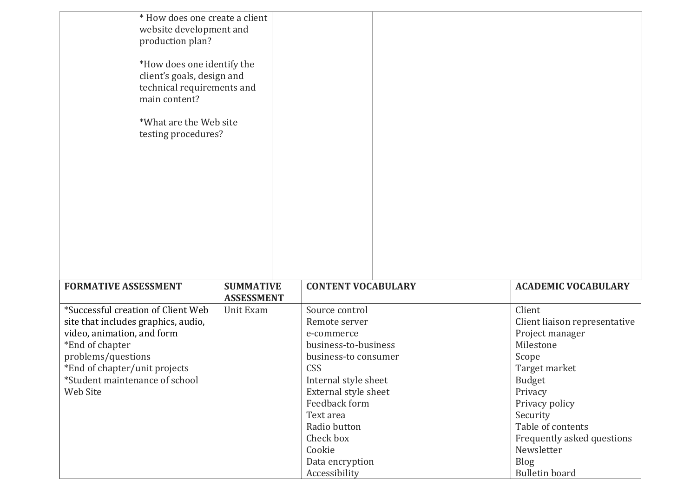| * How does one create a client<br>website development and<br>production plan?<br>*How does one identify the<br>client's goals, design and<br>technical requirements and<br>main content?<br>*What are the Web site<br>testing procedures? |                                |                           |                               |
|-------------------------------------------------------------------------------------------------------------------------------------------------------------------------------------------------------------------------------------------|--------------------------------|---------------------------|-------------------------------|
| <b>FORMATIVE ASSESSMENT</b>                                                                                                                                                                                                               | <b>SUMMATIVE</b>               | <b>CONTENT VOCABULARY</b> | <b>ACADEMIC VOCABULARY</b>    |
| *Successful creation of Client Web                                                                                                                                                                                                        | <b>ASSESSMENT</b><br>Unit Exam | Source control            | Client                        |
| site that includes graphics, audio,                                                                                                                                                                                                       |                                | Remote server             | Client liaison representative |
| video, animation, and form                                                                                                                                                                                                                |                                | e-commerce                | Project manager               |
| *End of chapter                                                                                                                                                                                                                           |                                | business-to-business      | Milestone                     |
| problems/questions                                                                                                                                                                                                                        |                                | business-to consumer      | Scope                         |
| *End of chapter/unit projects                                                                                                                                                                                                             |                                | CSS                       | Target market                 |
| *Student maintenance of school                                                                                                                                                                                                            |                                | Internal style sheet      | <b>Budget</b>                 |
| Web Site                                                                                                                                                                                                                                  |                                | External style sheet      | Privacy                       |
|                                                                                                                                                                                                                                           |                                | Feedback form             | Privacy policy                |
|                                                                                                                                                                                                                                           |                                | Text area                 | Security                      |
|                                                                                                                                                                                                                                           |                                | Radio button              | Table of contents             |
|                                                                                                                                                                                                                                           |                                | Check box                 | Frequently asked questions    |
|                                                                                                                                                                                                                                           |                                | Cookie                    | Newsletter                    |
|                                                                                                                                                                                                                                           |                                | Data encryption           | Blog                          |
|                                                                                                                                                                                                                                           |                                | Accessibility             | <b>Bulletin board</b>         |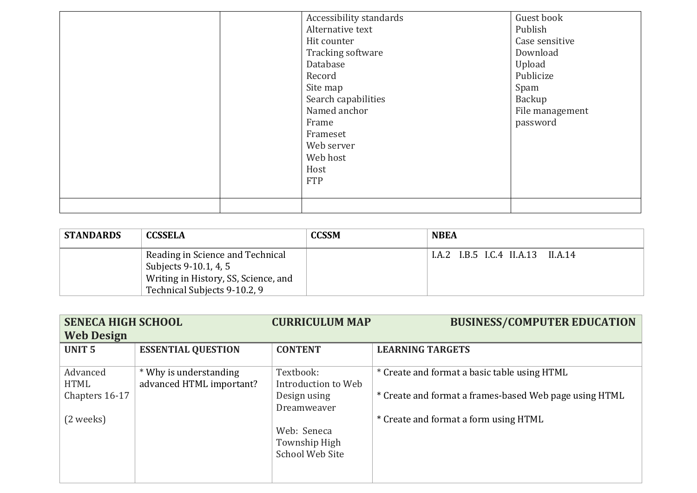| Hit counter<br>Database<br>Record<br>Site map<br>Frame<br>Frameset<br>Web server<br>Web host<br>Host<br><b>FTP</b> | Accessibility standards<br>Alternative text<br>Tracking software<br>Search capabilities<br>Named anchor | Guest book<br>Publish<br>Case sensitive<br>Download<br>Upload<br>Publicize<br>Spam<br>Backup<br>File management<br>password |
|--------------------------------------------------------------------------------------------------------------------|---------------------------------------------------------------------------------------------------------|-----------------------------------------------------------------------------------------------------------------------------|
|                                                                                                                    |                                                                                                         |                                                                                                                             |

| <b>STANDARDS</b> | <b>CCSSELA</b>                                                                                                                    | <b>CCSSM</b> | <b>NBEA</b>                       |
|------------------|-----------------------------------------------------------------------------------------------------------------------------------|--------------|-----------------------------------|
|                  | Reading in Science and Technical<br>Subjects 9-10.1, 4, 5<br>Writing in History, SS, Science, and<br>Technical Subjects 9-10.2, 9 |              | I.A.2 I.B.5 I.C.4 II.A.13 II.A.14 |

| <b>SENECA HIGH SCHOOL</b> |                           | <b>CURRICULUM MAP</b> | <b>BUSINESS/COMPUTER EDUCATION</b>                     |  |  |  |  |
|---------------------------|---------------------------|-----------------------|--------------------------------------------------------|--|--|--|--|
| <b>Web Design</b>         |                           |                       |                                                        |  |  |  |  |
| <b>UNIT 5</b>             | <b>ESSENTIAL QUESTION</b> | <b>CONTENT</b>        | <b>LEARNING TARGETS</b>                                |  |  |  |  |
|                           |                           |                       |                                                        |  |  |  |  |
| Advanced                  | * Why is understanding    | Textbook:             | * Create and format a basic table using HTML           |  |  |  |  |
| <b>HTML</b>               | advanced HTML important?  | Introduction to Web   |                                                        |  |  |  |  |
| Chapters 16-17            |                           | Design using          | * Create and format a frames-based Web page using HTML |  |  |  |  |
|                           |                           | Dreamweaver           |                                                        |  |  |  |  |
| (2 weeks)                 |                           |                       | * Create and format a form using HTML                  |  |  |  |  |
|                           |                           | Web: Seneca           |                                                        |  |  |  |  |
|                           |                           | Township High         |                                                        |  |  |  |  |
|                           |                           | School Web Site       |                                                        |  |  |  |  |
|                           |                           |                       |                                                        |  |  |  |  |
|                           |                           |                       |                                                        |  |  |  |  |